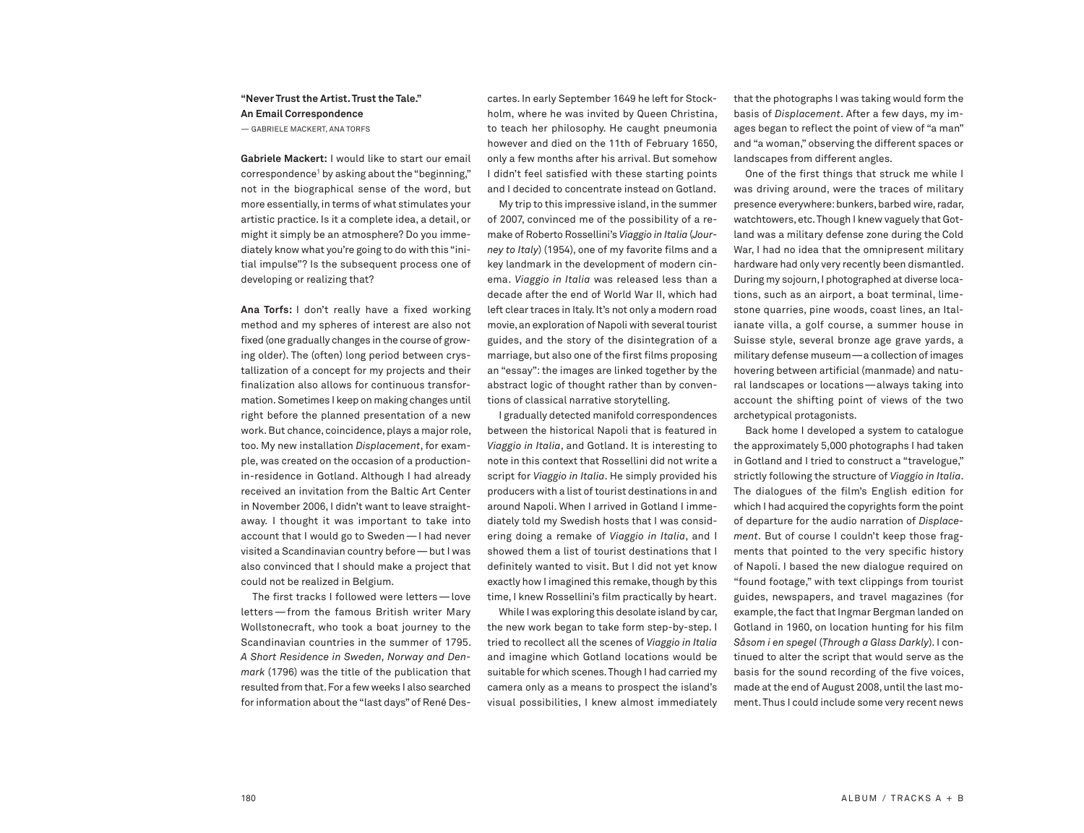## **"Never Trust the Artist.Trust the Tale." An Email Correspondence** — GABRIELE MACKERT, ANA TORFS

**Gabriele Mackert:** I would like to start our email  $correspondence<sup>1</sup>$  by asking about the "beginning," not in the biographical sense of the word, but more essentially, in terms of what stimulates your artistic practice. Is it a complete idea, a detail, or might it simply be an atmosphere? Do you immediately know what you're going to do with this "initial impulse"? Is the subsequent process one of developing or realizing that?

**Ana Torfs:** I don't really have a fixed working method and my spheres of interest are also not fixed (one gradually changes in the course of growing older). The (often) long period between crystallization of a concept for my projects and their finalization also allows for continuous transformation. Sometimes I keep on making changes until right before the planned presentation of a new work. But chance, coincidence, plays a major role, too. My new installation *Displacement*, for example, was created on the occasion of a productionin-residence in Gotland. Although I had already received an invitation from the Baltic Art Center in November 2006, I didn't want to leave straightaway. I thought it was important to take into account that I would go to Sweden—I had never visited a Scandinavian country before - but I was also convinced that I should make a project that could not be realized in Belgium.

The first tracks I followed were letters—love letters—from the famous British writer Mary Wollstonecraft, who took a boat journey to the Scandinavian countries in the summer of 1795. *A Short Residence in Sweden, Norway and Denmark* (1796) was the title of the publication that resulted from that.For a few weeks I also searched for information about the "last days" of René Des-

cartes. In early September 1649 he left for Stockholm, where he was invited by Queen Christina, to teach her philosophy. He caught pneumonia however and died on the 11th of February 1650, only a few months after his arrival. But somehow I didn't feel satisfied with these starting points and I decided to concentrate instead on Gotland.

My trip to this impressive island, in the summer of 2007, convinced me of the possibility of a remake of Roberto Rossellini's *Viaggio in Italia* (*Journey to Italy*) (1954), one of my favorite films and a key landmark in the development of modern cinema. *Viaggio in Italia* was released less than a decade after the end of World War II, which had left clear traces in Italy. It's not only a modern road movie, an exploration of Napoli with several tourist guides, and the story of the disintegration of a marriage, but also one of the first films proposing an "essay":the images are linked together by the abstract logic of thought rather than by conventions of classical narrative storytelling.

I gradually detected manifold correspondences between the historical Napoli that is featured in *Viaggio in Italia*, and Gotland. It is interesting to note in this context that Rossellini did not write a script for *Viaggio in Italia*. He simply provided his producers with a list of tourist destinations in and around Napoli. When I arrived in Gotland I immediately told my Swedish hosts that I was considering doing a remake of *Viaggio in Italia*, and I showed them a list of tourist destinations that I definitely wanted to visit. But I did not yet know exactly how I imagined this remake, though by this time, I knew Rossellini's film practically by heart.

While I was exploring this desolate island by car, the new work began to take form step-by-step. I tried to recollect all the scenes of *Viaggio in Italia* and imagine which Gotland locations would be suitable for which scenes.Though I had carried my camera only as a means to prospect the island's visual possibilities, I knew almost immediately that the photographs I was taking would form the basis of *Displacement*. After a few days, my images began to reflect the point of view of "a man" and "a woman," observing the different spaces or landscapes from different angles.

One of the first things that struck me while I was driving around, were the traces of military presence everywhere:bunkers,barbed wire,radar, watchtowers,etc.Though I knew vaguely that Gotland was a military defense zone during the Cold War, I had no idea that the omnipresent military hardware had only very recently been dismantled. During my sojourn,I photographed at diverse locations, such as an airport, a boat terminal, limestone quarries, pine woods, coast lines, an Italianate villa, a golf course, a summer house in Suisse style, several bronze age grave yards, a military defense museum—a collection of images hovering between artificial (manmade) and natural landscapes or locations—always taking into account the shifting point of views of the two archetypical protagonists.

Back home I developed a system to catalogue the approximately 5,000 photographs I had taken in Gotland and I tried to construct a "travelogue," strictly following the structure of *Viaggio in Italia*. The dialogues of the film's English edition for which I had acquired the copyrights form the point of departure for the audio narration of *Displacement*. But of course I couldn't keep those fragments that pointed to the very specific history of Napoli. I based the new dialogue required on "found footage," with text clippings from tourist guides, newspapers, and travel magazines (for example, the fact that Ingmar Bergman landed on Gotland in 1960, on location hunting for his film *Såsom i en spegel* (*Through a Glass Darkly*). I continued to alter the script that would serve as the basis for the sound recording of the five voices, made at the end of August 2008, until the last moment.Thus I could include some very recent news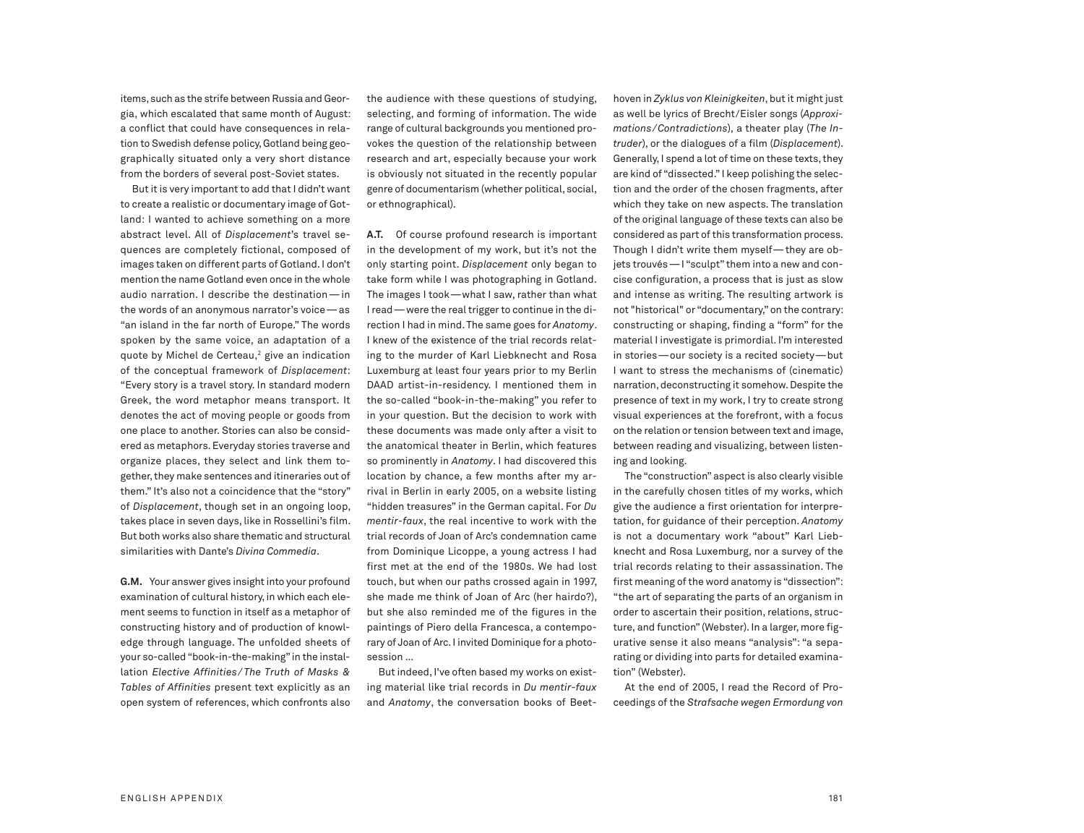items, such as the strife between Russia and Georgia, which escalated that same month of August: a conflict that could have consequences in relation to Swedish defense policy,Gotland being geographically situated only a very short distance from the borders of several post-Soviet states.

But it is very important to add that I didn't want to create a realistic or documentary image of Gotland: I wanted to achieve something on a more abstract level. All of *Displacement*'s travel sequences are completely fictional, composed of images taken on different parts of Gotland.I don't mention the name Gotland even once in the whole audio narration. I describe the destination—in the words of an anonymous narrator's voice—as "an island in the far north of Europe." The words spoken by the same voice, an adaptation of a quote by Michel de Certeau, <sup>2</sup> give an indication of the conceptual framework of *Displacement*: "Every story is a travel story. In standard modern Greek, the word metaphor means transport. It denotes the act of moving people or goods from one place to another. Stories can also be considered as metaphors.Everyday stories traverse and organize places, they select and link them together, they make sentences and itineraries out of them." It's also not a coincidence that the "story" of *Displacement*, though set in an ongoing loop, takes place in seven days, like in Rossellini's film. But both works also share thematic and structural similarities with Dante's *Divina Commedia*.

**G.M.** Your answer gives insight into your profound examination of cultural history, in which each element seems to function in itself as a metaphor of constructing history and of production of knowledge through language. The unfolded sheets of your so-called"book-in-the-making" in the installation *Elective Affinities/ The Truth of Masks & Tables of Affinities* present text explicitly as an open system of references, which confronts also the audience with these questions of studying, selecting, and forming of information. The wide range of cultural backgrounds you mentioned provokes the question of the relationship between research and art, especially because your work is obviously not situated in the recently popular genre of documentarism (whether political, social, or ethnographical).

**A.T.** Of course profound research is important in the development of my work, but it's not the only starting point. *Displacement* only began to take form while I was photographing in Gotland. The images I took—what I saw, rather than what Iread—were the realtriggerto continue in the direction I had in mind.The same goes for *Anatomy*. I knew of the existence of the trial records relating to the murder of Karl Liebknecht and Rosa Luxemburg at least four years prior to my Berlin DAAD artist-in-residency. I mentioned them in the so-called "book-in-the-making" you refer to in your question. But the decision to work with these documents was made only after a visit to the anatomical theater in Berlin, which features so prominently in *Anatomy*. I had discovered this location by chance, a few months after my arrival in Berlin in early 2005, on a website listing "hidden treasures" in the German capital. For *Du mentir-faux*, the real incentive to work with the trial records of Joan of Arc's condemnation came from Dominique Licoppe, a young actress I had first met at the end of the 1980s. We had lost touch, but when our paths crossed again in 1997, she made me think of Joan of Arc (her hairdo?), but she also reminded me of the figures in the paintings of Piero della Francesca, a contemporary of Joan of Arc. I invited Dominique for a photosession …

But indeed, I've often based my works on existing material like trial records in *Du mentir-faux* and *Anatomy*, the conversation books of Beet-

hoven in Zyklus von Kleinigkeiten, but it might just as well be lyrics of Brecht/Eisler songs (*Approximations/Contradictions*), a theater play (*The Intruder*), or the dialogues of a film (*Displacement*). Generally, I spend a lot of time on these texts, they are kind of "dissected." I keep polishing the selection and the order of the chosen fragments, after which they take on new aspects. The translation of the original language of these texts can also be considered as part of this transformation process. Though I didn't write them myself—they are objets trouvés—I "sculpt" them into a new and concise configuration, a process that is just as slow and intense as writing. The resulting artwork is not "historical" or "documentary," on the contrary: constructing or shaping, finding a "form" for the material I investigate is primordial. I'm interested in stories—our society is a recited society—but I want to stress the mechanisms of (cinematic) narration, deconstructing it somehow. Despite the presence of text in my work, I try to create strong visual experiences at the forefront, with a focus on the relation or tension between text and image, between reading and visualizing, between listening and looking.

The "construction" aspect is also clearly visible in the carefully chosen titles of my works, which give the audience a first orientation for interpretation, for guidance of their perception. *Anatomy* is not a documentary work "about" Karl Liebknecht and Rosa Luxemburg, nor a survey of the trial records relating to their assassination. The first meaning of the word anatomy is "dissection": "the art of separating the parts of an organism in order to ascertain their position, relations, structure, and function" (Webster). In a larger, more figurative sense it also means "analysis": "a separating or dividing into parts for detailed examination" (Webster).

At the end of 2005, I read the Record of Proceedings of the *Strafsache wegen Ermordung von*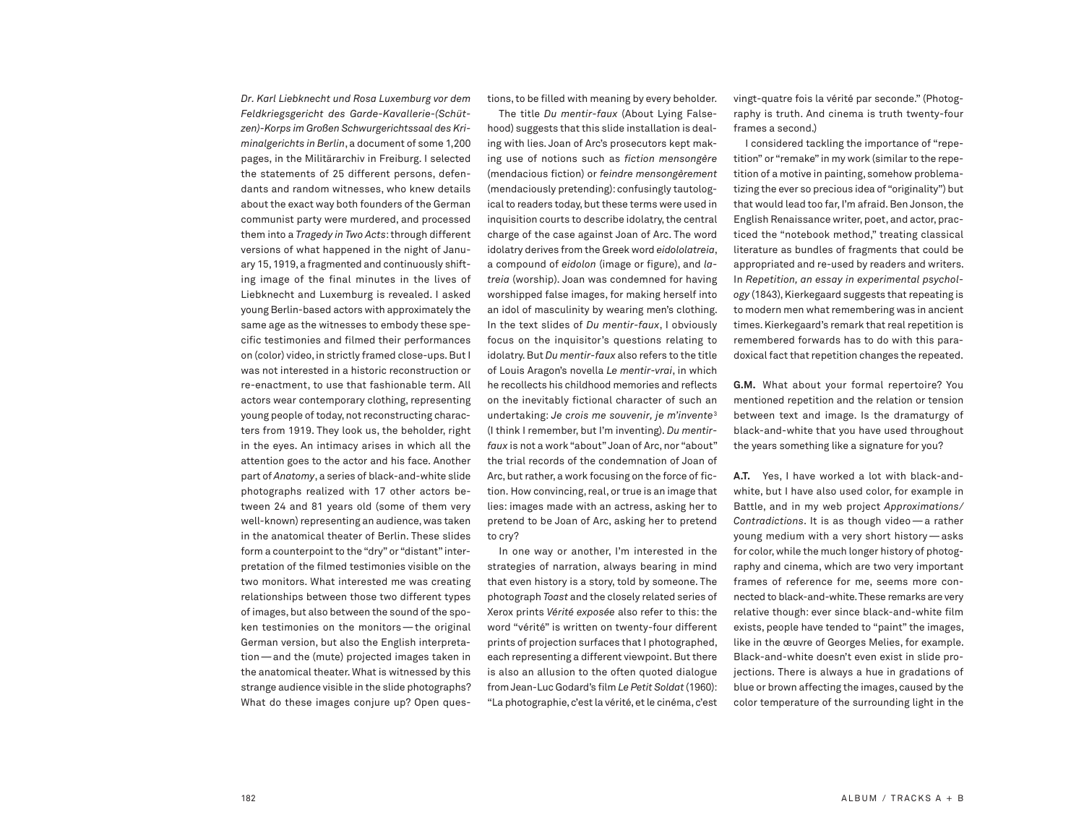*Dr. Karl Liebknecht und Rosa Luxemburg vor dem Feldkriegsgericht des Garde-Kavallerie-(Schützen)-Korps im Großen Schwurgerichtssaal des Kriminalgerichts in Berlin*, a document of some 1,200 pages, in the Militärarchiv in Freiburg. I selected the statements of 25 different persons, defendants and random witnesses, who knew details about the exact way both founders of the German communist party were murdered, and processed them into a *Tragedy in Two Acts*:through different versions of what happened in the night of January 15,1919,a fragmented and continuously shifting image of the final minutes in the lives of Liebknecht and Luxemburg is revealed. I asked young Berlin-based actors with approximately the same age as the witnesses to embody these specific testimonies and filmed their performances on (color) video, in strictly framed close-ups. But I was not interested in a historic reconstruction or re-enactment, to use that fashionable term. All actors wear contemporary clothing, representing young people of today, not reconstructing characters from 1919. They look us, the beholder, right in the eyes. An intimacy arises in which all the attention goes to the actor and his face. Another part of *Anatomy*, a series of black-and-white slide photographs realized with 17 other actors between 24 and 81 years old (some of them very well-known) representing an audience, was taken in the anatomical theater of Berlin. These slides form a counterpoint to the "dry" or "distant" interpretation of the filmed testimonies visible on the two monitors. What interested me was creating relationships between those two different types of images, but also between the sound of the spoken testimonies on the monitors—the original German version, but also the English interpretation—and the (mute) projected images taken in the anatomical theater. What is witnessed by this strange audience visible in the slide photographs? What do these images conjure up? Open questions,to be filled with meaning by every beholder.

The title *Du mentir-faux* (About Lying Falsehood) suggests that this slide installation is dealing with lies. Joan of Arc's prosecutors kept making use of notions such as *fiction mensongère* (mendacious fiction) or *feindre mensongèrement* (mendaciously pretending): confusingly tautological to readers today, but these terms were used in inquisition courts to describe idolatry, the central charge of the case against Joan of Arc. The word idolatry derives from the Greek word *eidololatreia*, a compound of *eidolon* (image or figure), and *latreia* (worship). Joan was condemned for having worshipped false images, for making herself into an idol of masculinity by wearing men's clothing. In the text slides of *Du mentir-faux*, I obviously focus on the inquisitor's questions relating to idolatry.But *Du mentir-faux* also refers to the title of Louis Aragon's novella *Le mentir-vrai*, in which he recollects his childhood memories and reflects on the inevitably fictional character of such an undertaking: *Je crois me souvenir, je m'invente*<sup>3</sup> (I think I remember, but I'm inventing). *Du mentirfaux* is not a work "about" Joan of Arc, nor "about" the trial records of the condemnation of Joan of Arc, but rather, a work focusing on the force of fiction. How convincing, real, or true is an image that lies: images made with an actress, asking her to pretend to be Joan of Arc, asking her to pretend to cry?

In one way or another, I'm interested in the strategies of narration, always bearing in mind that even history is a story, told by someone. The photograph *Toast* and the closely related series of Xerox prints *Vérité exposée* also refer to this: the word "vérité" is written on twenty-four different prints of projection surfaces that I photographed, each representing a different viewpoint. But there is also an allusion to the often quoted dialogue from Jean-Luc Godard's film *Le Petit Soldat*(1960): "La photographie, c'est la vérité, et le cinéma, c'est vingt-quatre fois la vérité par seconde." (Photography is truth. And cinema is truth twenty-four frames a second.)

I considered tackling the importance of "repetition" or "remake" in my work (similarto the repetition of a motive in painting, somehow problematizing the ever so precious idea of "originality") but that would lead too far, I'm afraid. Ben Jonson, the English Renaissance writer, poet, and actor, practiced the "notebook method," treating classical literature as bundles of fragments that could be appropriated and re-used by readers and writers. In *Repetition, an essay in experimental psychol*ogy (1843), Kierkegaard suggests that repeating is to modern men what remembering was in ancient times. Kierkegaard's remark that real repetition is remembered forwards has to do with this paradoxical fact that repetition changes the repeated.

**G.M.** What about your formal repertoire? You mentioned repetition and the relation or tension between text and image. Is the dramaturgy of black-and-white that you have used throughout the years something like a signature for you?

**A.T.** Yes, I have worked a lot with black-andwhite, but I have also used color, for example in Battle, and in my web project *Approximations/ Contradictions*. It is as though video—a rather young medium with a very short history—asks for color,while the much longer history of photography and cinema, which are two very important frames of reference for me, seems more connected to black-and-white.These remarks are very relative though: ever since black-and-white film exists, people have tended to "paint" the images, like in the œuvre of Georges Melies, for example. Black-and-white doesn't even exist in slide projections. There is always a hue in gradations of blue or brown affecting the images, caused by the color temperature of the surrounding light in the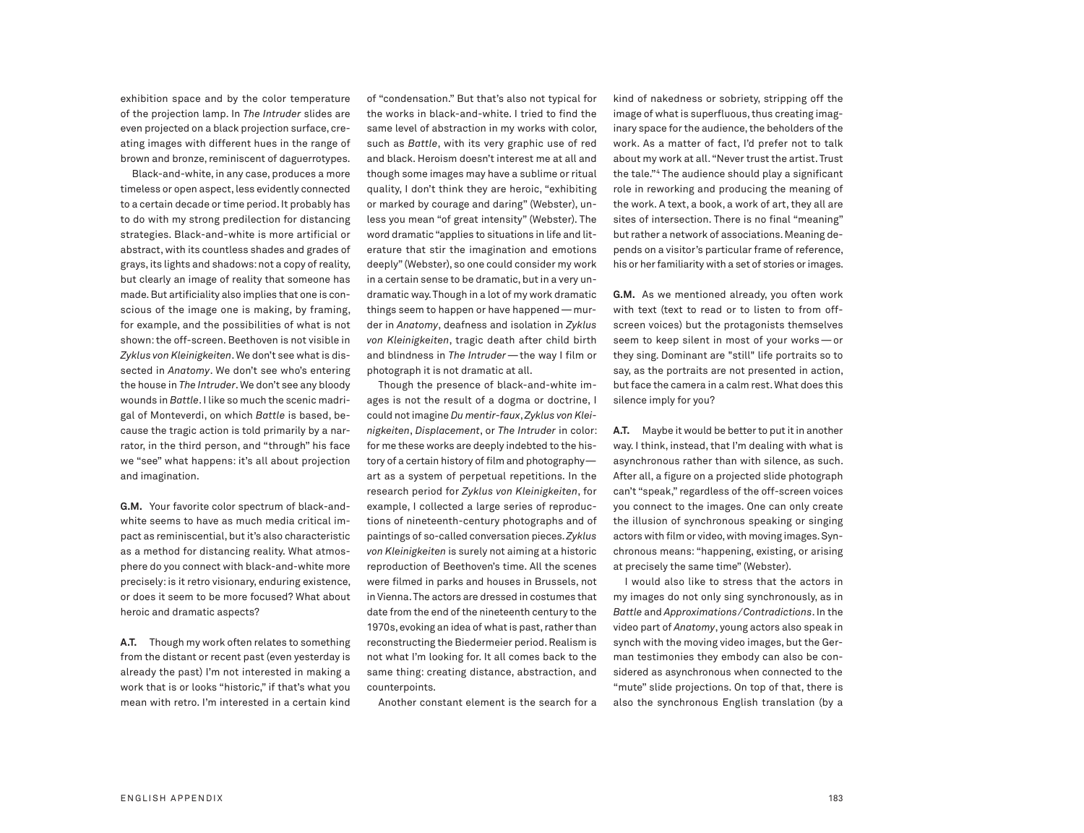exhibition space and by the color temperature of the projection lamp. In *The Intruder* slides are even projected on a black projection surface, creating images with different hues in the range of brown and bronze, reminiscent of daguerrotypes.

Black-and-white, in any case, produces a more timeless or open aspect, less evidently connected to a certain decade or time period. It probably has to do with my strong predilection for distancing strategies. Black-and-white is more artificial or abstract, with its countless shades and grades of grays, its lights and shadows: not a copy of reality, but clearly an image of reality that someone has made.But artificiality also implies that one is conscious of the image one is making, by framing, for example, and the possibilities of what is not shown:the off-screen. Beethoven is not visible in *Zyklus von Kleinigkeiten*.We don't see whatis dissected in *Anatomy*. We don't see who's entering the house in *The Intruder*.We don't see any bloody wounds in *Battle*.I like so much the scenic madrigal of Monteverdi, on which *Battle* is based, because the tragic action is told primarily by a narrator, in the third person, and "through" his face we "see" what happens: it's all about projection and imagination.

**G.M.** Your favorite color spectrum of black-andwhite seems to have as much media critical impact as reminiscential,but it's also characteristic as a method for distancing reality. What atmosphere do you connect with black-and-white more precisely: is it retro visionary, enduring existence, or does it seem to be more focused? What about heroic and dramatic aspects?

**A.T.** Though my work often relates to something from the distant or recent past (even yesterday is already the past) I'm not interested in making a work that is or looks "historic," if that's what you mean with retro. I'm interested in a certain kind of "condensation." But that's also not typical for the works in black-and-white. I tried to find the same level of abstraction in my works with color, such as *Battle*, with its very graphic use of red and black. Heroism doesn't interest me at all and though some images may have a sublime or ritual quality, I don't think they are heroic, "exhibiting or marked by courage and daring" (Webster), unless you mean "of great intensity" (Webster). The word dramatic "applies to situations in life and literature that stir the imagination and emotions deeply" (Webster), so one could consider my work in a certain sense to be dramatic, but in a very undramatic way.Though in a lot of my work dramatic things seem to happen or have happened—murder in *Anatomy*, deafness and isolation in *Zyklus von Kleinigkeiten*, tragic death after child birth and blindness in *The Intruder*—the way I film or photograph it is not dramatic at all.

Though the presence of black-and-white images is not the result of a dogma or doctrine, I could notimagine *Du mentir-faux*,*Zyklus von Kleinigkeiten*, *Displacement*, or *The Intruder* in color: for me these works are deeply indebted to the history of a certain history of film and photography art as a system of perpetual repetitions. In the research period for *Zyklus von Kleinigkeiten*, for example, I collected a large series of reproductions of nineteenth-century photographs and of paintings of so-called conversation pieces.*Zyklus von Kleinigkeiten* is surely not aiming at a historic reproduction of Beethoven's time. All the scenes were filmed in parks and houses in Brussels, not in Vienna.The actors are dressed in costumes that date from the end of the nineteenth century to the 1970s, evoking an idea of what is past, rather than reconstructing the Biedermeier period.Realism is not what I'm looking for. It all comes back to the same thing: creating distance, abstraction, and counterpoints.

Another constant element is the search for a

kind of nakedness or sobriety, stripping off the image of what is superfluous, thus creating imaginary space for the audience, the beholders of the work. As a matter of fact, I'd prefer not to talk about my work at all."Never trust the artist.Trust the tale."4 The audience should play a significant role in reworking and producing the meaning of the work. A text, a book, a work of art, they all are sites of intersection. There is no final "meaning" but rather a network of associations. Meaning depends on a visitor's particular frame of reference, his or her familiarity with a set of stories or images.

**G.M.** As we mentioned already, you often work with text (text to read or to listen to from offscreen voices) but the protagonists themselves seem to keep silent in most of your works—or they sing. Dominant are "still" life portraits so to say, as the portraits are not presented in action, but face the camera in a calm rest. What does this silence imply for you?

A.T. Maybe it would be better to put it in another way. I think, instead, that I'm dealing with what is asynchronous rather than with silence, as such. After all, a figure on a projected slide photograph can't "speak," regardless of the off-screen voices you connect to the images. One can only create the illusion of synchronous speaking or singing actors with film or video, with moving images. Synchronous means: "happening, existing, or arising at precisely the same time" (Webster).

I would also like to stress that the actors in my images do not only sing synchronously, as in *Battle* and *Approximations/Contradictions*. In the video part of *Anatomy*, young actors also speak in synch with the moving video images, but the German testimonies they embody can also be considered as asynchronous when connected to the "mute" slide projections. On top of that, there is also the synchronous English translation (by a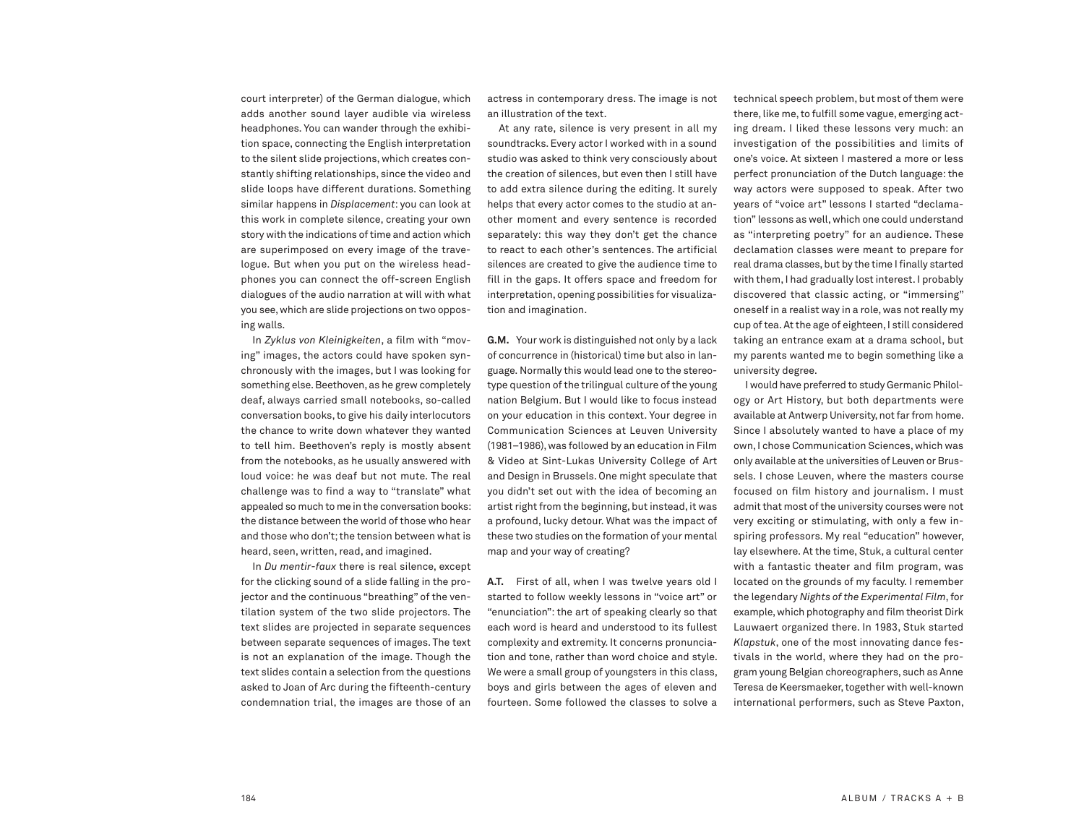court interpreter) of the German dialogue, which adds another sound layer audible via wireless headphones. You can wander through the exhibition space, connecting the English interpretation to the silent slide projections, which creates constantly shifting relationships, since the video and slide loops have different durations. Something similar happens in *Displacement*: you can look at this work in complete silence, creating your own story with the indications of time and action which are superimposed on every image of the travelogue. But when you put on the wireless headphones you can connect the off-screen English dialogues of the audio narration at will with what you see,which are slide projections on two opposing walls.

In *Zyklus von Kleinigkeiten*, a film with "moving" images, the actors could have spoken synchronously with the images, but I was looking for something else. Beethoven, as he grew completely deaf, always carried small notebooks, so-called conversation books,to give his daily interlocutors the chance to write down whatever they wanted to tell him. Beethoven's reply is mostly absent from the notebooks, as he usually answered with loud voice: he was deaf but not mute. The real challenge was to find a way to "translate" what appealed so much to me in the conversation books: the distance between the world of those who hear and those who don't; the tension between what is heard, seen, written, read, and imagined.

In *Du mentir-faux* there is real silence, except for the clicking sound of a slide falling in the projector and the continuous "breathing" of the ventilation system of the two slide projectors. The text slides are projected in separate sequences between separate sequences of images. The text is not an explanation of the image. Though the text slides contain a selection from the questions asked to Joan of Arc during the fifteenth-century condemnation trial, the images are those of an

actress in contemporary dress. The image is not an illustration of the text.

At any rate, silence is very present in all my soundtracks.Every actor I worked with in a sound studio was asked to think very consciously about the creation of silences, but even then I still have to add extra silence during the editing. It surely helps that every actor comes to the studio at another moment and every sentence is recorded separately: this way they don't get the chance to react to each other's sentences. The artificial silences are created to give the audience time to fill in the gaps. It offers space and freedom for interpretation, opening possibilities for visualization and imagination.

**G.M.** Your work is distinguished not only by a lack of concurrence in (historical) time but also in language. Normally this would lead one to the stereotype question of the trilingual culture of the young nation Belgium. But I would like to focus instead on your education in this context. Your degree in Communication Sciences at Leuven University (1981–1986),was followed by an education in Film & Video at Sint-Lukas University College of Art and Design in Brussels. One might speculate that you didn't set out with the idea of becoming an artist right from the beginning, but instead, it was a profound, lucky detour. What was the impact of these two studies on the formation of your mental map and your way of creating?

**A.T.** First of all, when I was twelve years old I started to follow weekly lessons in "voice art" or "enunciation": the art of speaking clearly so that each word is heard and understood to its fullest complexity and extremity. It concerns pronunciation and tone, rather than word choice and style. We were a small group of youngsters in this class, boys and girls between the ages of eleven and fourteen. Some followed the classes to solve a

technical speech problem, but most of them were there, like me, to fulfill some vague, emerging acting dream. I liked these lessons very much: an investigation of the possibilities and limits of one's voice. At sixteen I mastered a more or less perfect pronunciation of the Dutch language: the way actors were supposed to speak. After two years of "voice art" lessons I started "declamation" lessons as well,which one could understand as "interpreting poetry" for an audience. These declamation classes were meant to prepare for real drama classes, but by the time I finally started with them,I had gradually lost interest.I probably discovered that classic acting, or "immersing" oneself in a realist way in a role, was not really my cup of tea. At the age of eighteen, I still considered taking an entrance exam at a drama school, but my parents wanted me to begin something like a university degree.

I would have preferred to study Germanic Philology or Art History, but both departments were available at Antwerp University, not far from home. Since I absolutely wanted to have a place of my own, I chose Communication Sciences, which was only available atthe universities of Leuven or Brussels. I chose Leuven, where the masters course focused on film history and journalism. I must admit that most of the university courses were not very exciting or stimulating, with only a few inspiring professors. My real "education" however, lay elsewhere. At the time, Stuk, a cultural center with a fantastic theater and film program, was located on the grounds of my faculty. I remember the legendary *Nights of the Experimental Film*,for example,which photography and film theorist Dirk Lauwaert organized there. In 1983, Stuk started *Klapstuk*, one of the most innovating dance festivals in the world, where they had on the program young Belgian choreographers, such as Anne Teresa de Keersmaeker, together with well-known international performers, such as Steve Paxton,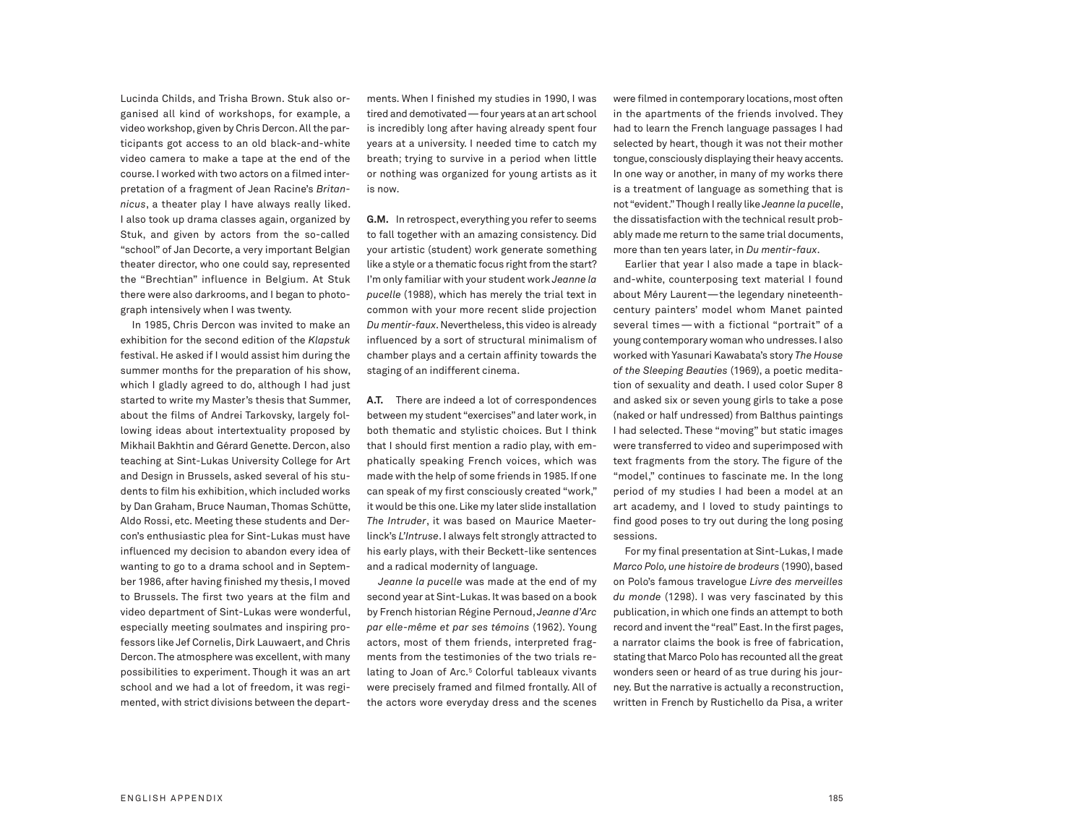Lucinda Childs, and Trisha Brown. Stuk also organised all kind of workshops, for example, a video workshop, given by Chris Dercon. All the participants got access to an old black-and-white video camera to make a tape at the end of the course.I worked with two actors on a filmed interpretation of a fragment of Jean Racine's *Britannicus*, a theater play I have always really liked. I also took up drama classes again, organized by Stuk, and given by actors from the so-called "school" of Jan Decorte, a very important Belgian theater director, who one could say, represented the "Brechtian" influence in Belgium. At Stuk there were also darkrooms, and I began to photograph intensively when I was twenty.

In 1985, Chris Dercon was invited to make an exhibition for the second edition of the *Klapstuk* festival. He asked if I would assist him during the summer months for the preparation of his show, which I gladly agreed to do, although I had just started to write my Master's thesis that Summer, about the films of Andrei Tarkovsky, largely following ideas about intertextuality proposed by Mikhail Bakhtin and Gérard Genette.Dercon, also teaching at Sint-Lukas University College for Art and Design in Brussels, asked several of his students to film his exhibition,which included works by Dan Graham, Bruce Nauman, Thomas Schütte, Aldo Rossi, etc. Meeting these students and Dercon's enthusiastic plea for Sint-Lukas must have influenced my decision to abandon every idea of wanting to go to a drama school and in September 1986, after having finished my thesis, I moved to Brussels. The first two years at the film and video department of Sint-Lukas were wonderful, especially meeting soulmates and inspiring professors like Jef Cornelis, Dirk Lauwaert, and Chris Dercon. The atmosphere was excellent, with many possibilities to experiment. Though it was an art school and we had a lot of freedom, it was regimented, with strict divisions between the departments. When I finished my studies in 1990, I was tired and demotivated—four years at an art school is incredibly long after having already spent four years at a university. I needed time to catch my breath; trying to survive in a period when little or nothing was organized for young artists as it is now.

G.M. In retrospect, everything you refer to seems to fall together with an amazing consistency. Did your artistic (student) work generate something like a style or a thematic focus right from the start? I'm only familiar with your student work *Jeanne la pucelle* (1988), which has merely the trial text in common with your more recent slide projection *Du mentir-faux*.Nevertheless,this video is already influenced by a sort of structural minimalism of chamber plays and a certain affinity towards the staging of an indifferent cinema.

**A.T.** There are indeed a lot of correspondences between my student "exercises" and later work, in both thematic and stylistic choices. But I think that I should first mention a radio play, with emphatically speaking French voices, which was made with the help of some friends in 1985.If one can speak of my first consciously created "work," it would be this one.Like my later slide installation *The Intruder*, it was based on Maurice Maeterlinck's *L'Intruse*. I always felt strongly attracted to his early plays, with their Beckett-like sentences and a radical modernity of language.

*Jeanne la pucelle* was made at the end of my second year at Sint-Lukas.It was based on a book by French historian Régine Pernoud, *Jeanne d'Arc par elle-même et par ses témoins* (1962). Young actors, most of them friends, interpreted fragments from the testimonies of the two trials relating to Joan of Arc. <sup>5</sup> Colorful tableaux vivants were precisely framed and filmed frontally. All of the actors wore everyday dress and the scenes

were filmed in contemporary locations, most often in the apartments of the friends involved. They had to learn the French language passages I had selected by heart, though it was not their mother tongue, consciously displaying their heavy accents. In one way or another, in many of my works there is a treatment of language as something that is not "evident."Though Ireally like *Jeanne la pucelle*, the dissatisfaction with the technical result probably made me return to the same trial documents, more than ten years later, in *Du mentir-faux*.

Earlier that year I also made a tape in blackand-white, counterposing text material I found about Méry Laurent—the legendary nineteenthcentury painters' model whom Manet painted several times—with a fictional "portrait" of a young contemporary woman who undresses.I also worked with Yasunari Kawabata's story *The House of the Sleeping Beauties* (1969), a poetic meditation of sexuality and death. I used color Super 8 and asked six or seven young girls to take a pose (naked or half undressed) from Balthus paintings I had selected. These "moving" but static images were transferred to video and superimposed with text fragments from the story. The figure of the "model," continues to fascinate me. In the long period of my studies I had been a model at an art academy, and I loved to study paintings to find good poses to try out during the long posing sessions.

For my final presentation at Sint-Lukas,I made *Marco Polo,une histoire de brodeurs* (1990),based on Polo's famous travelogue *Livre des merveilles du monde* (1298). I was very fascinated by this publication, in which one finds an attempt to both record and invent the "real" East. In the first pages, a narrator claims the book is free of fabrication, stating that Marco Polo has recounted all the great wonders seen or heard of as true during his journey. But the narrative is actually a reconstruction, written in French by Rustichello da Pisa, a writer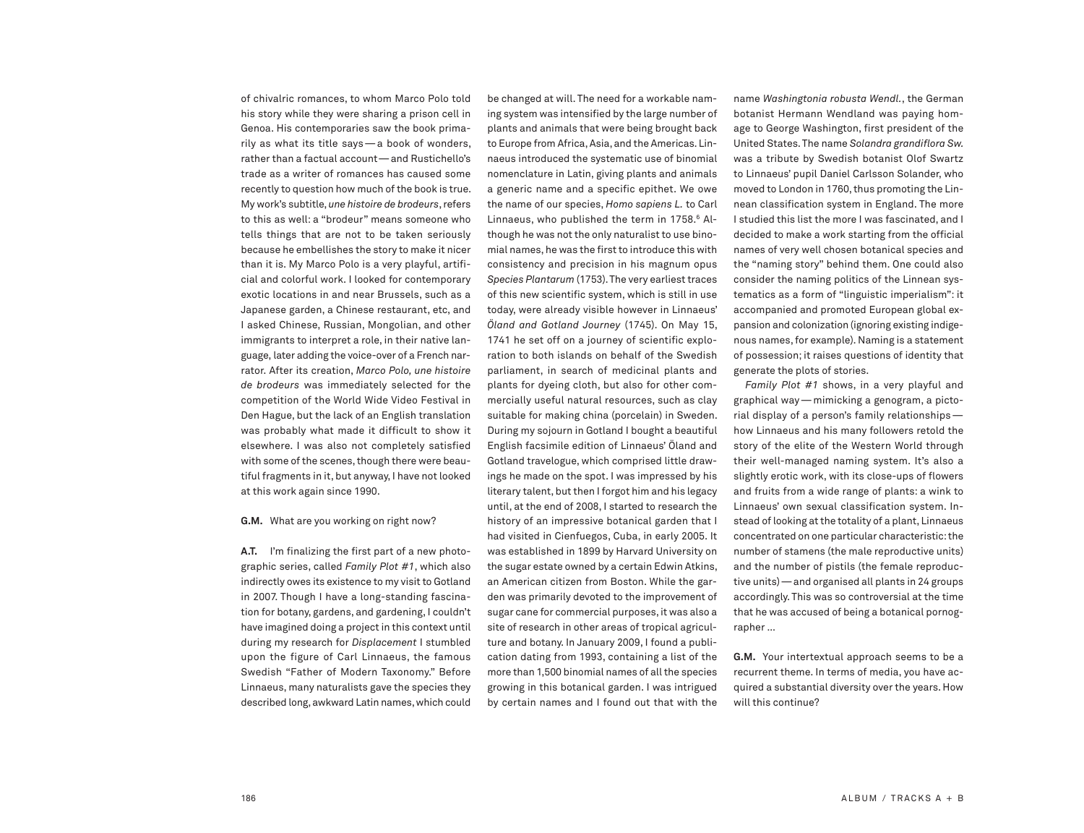of chivalric romances, to whom Marco Polo told his story while they were sharing a prison cell in Genoa. His contemporaries saw the book primarily as what its title says—a book of wonders, rather than a factual account—and Rustichello's trade as a writer of romances has caused some recently to question how much of the book is true. My work's subtitle,*une histoire de brodeurs*,refers to this as well: a "brodeur" means someone who tells things that are not to be taken seriously because he embellishes the story to make it nicer than it is. My Marco Polo is a very playful, artificial and colorful work. I looked for contemporary exotic locations in and near Brussels, such as a Japanese garden, a Chinese restaurant, etc, and I asked Chinese, Russian, Mongolian, and other immigrants to interpret a role, in their native language, later adding the voice-over of a French narrator. After its creation, *Marco Polo, une histoire de brodeurs* was immediately selected for the competition of the World Wide Video Festival in Den Hague, but the lack of an English translation was probably what made it difficult to show it elsewhere. I was also not completely satisfied with some of the scenes, though there were beautiful fragments in it, but anyway, I have not looked at this work again since 1990.

## **G.M.** What are you working on right now?

**A.T.** I'm finalizing the first part of a new photographic series, called *Family Plot #1*, which also indirectly owes its existence to my visit to Gotland in 2007. Though I have a long-standing fascination for botany, gardens, and gardening, I couldn't have imagined doing a project in this context until during my research for *Displacement* I stumbled upon the figure of Carl Linnaeus, the famous Swedish "Father of Modern Taxonomy." Before Linnaeus, many naturalists gave the species they described long,awkward Latin names,which could

be changed at will. The need for a workable naming system was intensified by the large number of plants and animals that were being brought back to Europe from Africa, Asia, and the Americas, Linnaeus introduced the systematic use of binomial nomenclature in Latin, giving plants and animals a generic name and a specific epithet. We owe the name of our species, *Homo sapiens L.* to Carl Linnaeus, who published the term in 1758. <sup>6</sup> Although he was not the only naturalist to use binomial names, he was the first to introduce this with consistency and precision in his magnum opus Species Plantarum (1753). The very earliest traces of this new scientific system, which is still in use today, were already visible however in Linnaeus' *Öland and Gotland Journey* (1745). On May 15, 1741 he set off on a journey of scientific exploration to both islands on behalf of the Swedish parliament, in search of medicinal plants and plants for dyeing cloth, but also for other commercially useful natural resources, such as clay suitable for making china (porcelain) in Sweden. During my sojourn in Gotland I bought a beautiful English facsimile edition of Linnaeus' Öland and Gotland travelogue, which comprised little drawings he made on the spot. I was impressed by his literary talent, but then I forgot him and his legacy until, at the end of 2008, I started to research the history of an impressive botanical garden that I had visited in Cienfuegos, Cuba, in early 2005. It was established in 1899 by Harvard University on the sugar estate owned by a certain Edwin Atkins, an American citizen from Boston. While the garden was primarily devoted to the improvement of sugar cane for commercial purposes, it was also a site of research in other areas of tropical agriculture and botany. In January 2009, I found a publication dating from 1993, containing a list of the more than 1,500 binomial names of all the species growing in this botanical garden. I was intrigued by certain names and I found out that with the

name *Washingtonia robusta Wendl.*, the German botanist Hermann Wendland was paying homage to George Washington, first president of the United States.The name *Solandra grandiflora Sw.* was a tribute by Swedish botanist Olof Swartz to Linnaeus' pupil Daniel Carlsson Solander, who moved to London in 1760, thus promoting the Linnean classification system in England. The more I studied this list the more I was fascinated, and I decided to make a work starting from the official names of very well chosen botanical species and the "naming story" behind them. One could also consider the naming politics of the Linnean systematics as a form of "linguistic imperialism": it accompanied and promoted European global expansion and colonization (ignoring existing indigenous names,for example). Naming is a statement of possession; it raises questions of identity that generate the plots of stories.

*Family Plot #1* shows, in a very playful and graphical way—mimicking a genogram, a pictorial display of a person's family relationships how Linnaeus and his many followers retold the story of the elite of the Western World through their well-managed naming system. It's also a slightly erotic work, with its close-ups of flowers and fruits from a wide range of plants: a wink to Linnaeus' own sexual classification system. Instead of looking at the totality of a plant, Linnaeus concentrated on one particular characteristic:the number of stamens (the male reproductive units) and the number of pistils (the female reproductive units)—and organised all plants in 24 groups accordingly. This was so controversial at the time that he was accused of being a botanical pornographer …

**G.M.** Your intertextual approach seems to be a recurrent theme. In terms of media, you have acquired a substantial diversity over the years. How will this continue?